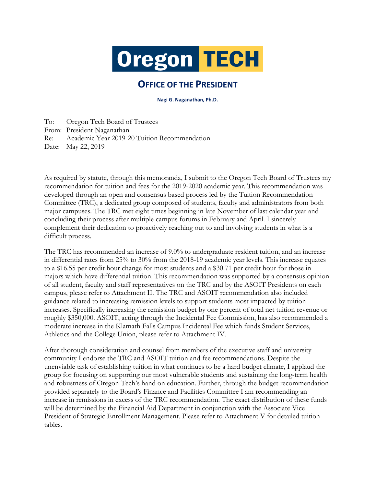

## **OFFICE OF THE PRESIDENT**

**Nagi G. Naganathan, Ph.D.**

To: Oregon Tech Board of Trustees From: President Naganathan Re: Academic Year 2019-20 Tuition Recommendation Date: May 22, 2019

As required by statute, through this memoranda, I submit to the Oregon Tech Board of Trustees my recommendation for tuition and fees for the 2019-2020 academic year. This recommendation was developed through an open and consensus based process led by the Tuition Recommendation Committee (TRC), a dedicated group composed of students, faculty and administrators from both major campuses. The TRC met eight times beginning in late November of last calendar year and concluding their process after multiple campus forums in February and April. I sincerely complement their dedication to proactively reaching out to and involving students in what is a difficult process.

The TRC has recommended an increase of 9.0% to undergraduate resident tuition, and an increase in differential rates from 25% to 30% from the 2018-19 academic year levels. This increase equates to a \$16.55 per credit hour change for most students and a \$30.71 per credit hour for those in majors which have differential tuition. This recommendation was supported by a consensus opinion of all student, faculty and staff representatives on the TRC and by the ASOIT Presidents on each campus, please refer to Attachment II. The TRC and ASOIT recommendation also included guidance related to increasing remission levels to support students most impacted by tuition increases. Specifically increasing the remission budget by one percent of total net tuition revenue or roughly \$350,000. ASOIT, acting through the Incidental Fee Commission, has also recommended a moderate increase in the Klamath Falls Campus Incidental Fee which funds Student Services, Athletics and the College Union, please refer to Attachment IV.

After thorough consideration and counsel from members of the executive staff and university community I endorse the TRC and ASOIT tuition and fee recommendations. Despite the unenviable task of establishing tuition in what continues to be a hard budget climate, I applaud the group for focusing on supporting our most vulnerable students and sustaining the long-term health and robustness of Oregon Tech's hand on education. Further, through the budget recommendation provided separately to the Board's Finance and Facilities Committee I am recommending an increase in remissions in excess of the TRC recommendation. The exact distribution of these funds will be determined by the Financial Aid Department in conjunction with the Associate Vice President of Strategic Enrollment Management. Please refer to Attachment V for detailed tuition tables.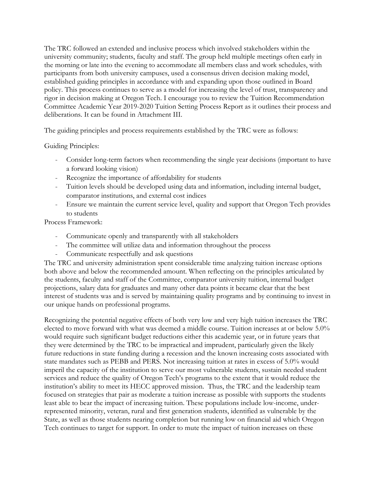The TRC followed an extended and inclusive process which involved stakeholders within the university community; students, faculty and staff. The group held multiple meetings often early in the morning or late into the evening to accommodate all members class and work schedules, with participants from both university campuses, used a consensus driven decision making model, established guiding principles in accordance with and expanding upon those outlined in Board policy. This process continues to serve as a model for increasing the level of trust, transparency and rigor in decision making at Oregon Tech. I encourage you to review the Tuition Recommendation Committee Academic Year 2019-2020 Tuition Setting Process Report as it outlines their process and deliberations. It can be found in Attachment III.

The guiding principles and process requirements established by the TRC were as follows:

Guiding Principles:

- Consider long-term factors when recommending the single year decisions (important to have a forward looking vision)
- Recognize the importance of affordability for students
- Tuition levels should be developed using data and information, including internal budget, comparator institutions, and external cost indices
- Ensure we maintain the current service level, quality and support that Oregon Tech provides to students

Process Framework:

- Communicate openly and transparently with all stakeholders
- The committee will utilize data and information throughout the process
- Communicate respectfully and ask questions

The TRC and university administration spent considerable time analyzing tuition increase options both above and below the recommended amount. When reflecting on the principles articulated by the students, faculty and staff of the Committee, comparator university tuition, internal budget projections, salary data for graduates and many other data points it became clear that the best interest of students was and is served by maintaining quality programs and by continuing to invest in our unique hands on professional programs.

Recognizing the potential negative effects of both very low and very high tuition increases the TRC elected to move forward with what was deemed a middle course. Tuition increases at or below 5.0% would require such significant budget reductions either this academic year, or in future years that they were determined by the TRC to be impractical and imprudent, particularly given the likely future reductions in state funding during a recession and the known increasing costs associated with state mandates such as PEBB and PERS. Not increasing tuition at rates in excess of 5.0% would imperil the capacity of the institution to serve our most vulnerable students, sustain needed student services and reduce the quality of Oregon Tech's programs to the extent that it would reduce the institution's ability to meet its HECC approved mission. Thus, the TRC and the leadership team focused on strategies that pair as moderate a tuition increase as possible with supports the students least able to bear the impact of increasing tuition. These populations include low-income, underrepresented minority, veteran, rural and first generation students, identified as vulnerable by the State, as well as those students nearing completion but running low on financial aid which Oregon Tech continues to target for support. In order to mute the impact of tuition increases on these